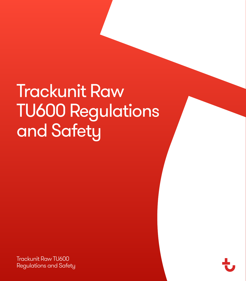# Trackunit Raw TU600 Regulations and Safety

Trackunit Raw TU600 Regulations and Safety

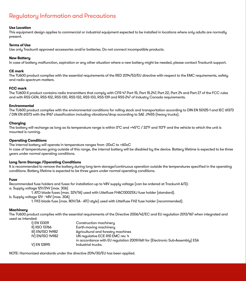# Regulatory Information and Precautions

# **Use Location**

This equipment design applies to commercial or industrial equipment expected to be installed in locations where only adults are normally present.

## **Terms of Use**

Use only Trackunit approved accessories and/or batteries. Do not connect incompatible products.

#### **New Battery**

In case of battery malfunction, expiration or any other situation where a new battery might be needed, please contact Trackunit support.

# **CE mark**

The TU600 product complies with the essential requirements of the RED 2014/53/EU directive with respect to the EMC requirements, safety and radio spectrum matters.

# **FCC mark**

The TU600-X product contains radio transmitters that comply with CFR 47 Part 15, Part 15.247, Part 22, Part 24 and Part 27 of the FCC rules and with RSS-GEN, RSS-102, RSS-130, RSS-132, RSS-133, RSS-139 and RSS-247 of Industry Canada requirements.

## **Environmental**

The TU600 product complies with the environmental conditions for rolling stock and transportation according to DIN EN 50125-1 and IEC 61373 / DIN EN 61373 with the IP67 classification including vibrations/drop according to SAE J1455 (heavy trucks).

#### **Charging**

The battery will recharge as long as its temperature range is within 0°C and +45°C / 32°F and 113°F and the vehicle to which the unit is mounted is running.

#### **Operating Conditions**

The internal battery will operate in temperature ranges from -20oC to +60oC In case of temperatures going outside of this range, the internal battery will be disabled by the device. Battery lifetime is expected to be three years under normal operating conditions.

# **Long Term Storage /Operating Conditions**

It is recommended to remove the battery during long term storage/continuous operation outside the temperatures specified in the operating conditions. Battery lifetime is expected to be three years under normal operating conditions.

#### **Fuse**

Recommended fuse holders and fuses for installation up to 48V supply voltage (can be ordered at Trackunit A/S): a. Supply voltage 12V/24V (max. 30A)

1. ATO blade fuses (max. 32V/1A) used with Littelfuse FHAC0002SXJ fuse holder (standard).

b. Supply voltage 12V - 48V (max. 30A)

1. FKS blade fuse (max. 80V/3A - ATO style) used with Littelfuse FH2 fuse holder (recommended).

#### **Machinery**

The TU600 product complies with the essential requirements of the Directive 2006/42/EC and EU regulation 2013/167 when integrated and used as intended:

| I) EN 13309       | Construction machinery                                                      |
|-------------------|-----------------------------------------------------------------------------|
| II) IISO 13766    | Earth-moving machinery                                                      |
| III) EN/ISO 14982 | Agricultural and forestry machines                                          |
| IV) EN/ISO 14982  | UN regulative ECE R10 EMC rev. 4                                            |
|                   | in accordance with EU regulation 2009/661 for (Electronic Sub-Assembly) ESA |
| VI EN 12895       | Industrial trucks.                                                          |

NOTE: Harmonized standards under the directive 2014/30/EU has been applied.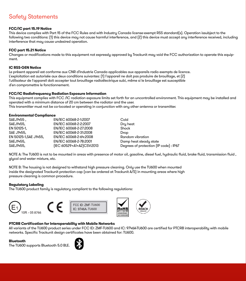# Safety Statements

# **FCC/IC part 15.19 Notice**

This device complies with Part 15 of the FCC Rules and with Industry Canada license-exempt RSS standard(s). Operation issubject to the following two conditions: (1) this device may not cause harmful interference, and (2) this device must accept any interference received, including interference that may cause undesired operation.

# **FCC part 15.21 Notice**

Changes or modifications made to this equipment not expressly approved by Trackunit may void the FCC authorization to operate this equipment.

# **IC RSS-GEN Notice**

Le présent appareil est conforme aux CNR d'Industrie Canada applicables aux appareils radio exempts de licence. L'exploitation est autorisée aux deux conditions suivantes: (1) l'appareil ne doit pas produire de brouillage, et (2) l'utilisateur de l'appareil doit accepter tout brouillage radioélectrique subi, même si le brouillage est susceptible d'en compromettre le fonctionnement.

## **FCC/IC Radiofrequency Radiation Exposure Information**

This equipment complies with FCC /IC radiation exposure limits set forth for an uncontrolled environment. This equipment may be installed and operated with a minimum distance of 20 cm between the radiator and the user. This transmitter must not be co-located or operating in conjunction with any other antenna or transmitter.

#### **Environmental Compliance**

| SAEJ1455.             | EN/IEC 60068-2-1:2007     | Cold                                   |
|-----------------------|---------------------------|----------------------------------------|
| SAEJ1455.             | EN/IEC 60068-2-2:2007     | Dry heat                               |
| EN 50125-1.           | EN/IEC 60068-2-27:2008    | Shock                                  |
| SAE J1455.            | EN/IEC 60068-2-31:2008    | Drop                                   |
| EN 50125-1.SAE J1455. | EN/IEC 60068-2-64:2008    | Random vibration                       |
| SAEJ1455.             | EN/IEC 60068-2-78:2001    | Damp heat steady state                 |
| SAEJ1455.             | [IEC 60529+A1+A2]CSV:2013 | Degrees of protection (IP code) : IP67 |
|                       |                           |                                        |

NOTE A: The TU600 is not to be mounted in areas with presence of motor oil, gasoline, diesel fuel, hydraulic fluid, brake fluid, transmission fluid , glycol and water mixture, etc.

NOTE B: The housing is not designed to withstand high pressure cleaning. Only use the TU600 when mounted inside the designated Trackunit protection cap (can be ordered at Trackunit A/S) in mounting areas where high pressure cleaning is common procedure.

## **Regulatory Labeling**

The TU600 product family is regulatory compliant to the following regulations:



# **PTCRB Certification for Interoperability with Mobile Networks**

All variants of the TU600 product series under FCC ID: ZMF-TU600 and IC: 9746A-TU600 are certified for PTCRB interoperability with mobile networks. Specific Trackunit design certificates have been obtained for: TU600.

# **Bluetooth**

The TU600 supports Bluetooth 5.0 BLE.